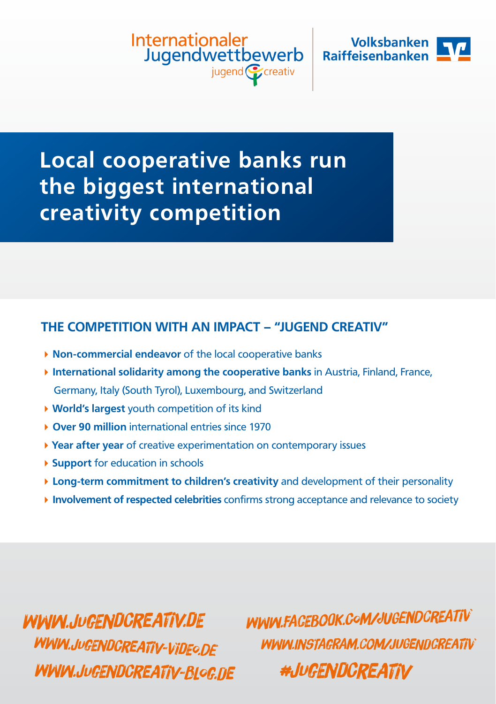Internationaler Jugendwettbewerb jugend Ccreativ



## **Local cooperative banks run the biggest international creativity competition**

### **THE COMPETITION WITH AN IMPACT – "JUGEND CREATIV"**

- ▶ **Non-commercial endeavor** of the local cooperative banks
- **International solidarity among the cooperative banks** in Austria, Finland, France, Germany, Italy (South Tyrol), Luxembourg, and Switzerland
- **World's largest** youth competition of its kind
- **Over 90 million** international entries since 1970
- **Year after year** of creative experimentation on contemporary issues
- **Support** for education in schools
- **Long-term commitment to children's creativity** and development of their personality
- **Involvement of respected celebrities** confirms strong acceptance and relevance to society

www.jugendcreativ.de www.jugendcreativ-video.de www.jugendcreativ-blog.de www.facebook.com/jugendcreativ #jugendcreativ www.instagram.com/jugendcreativ